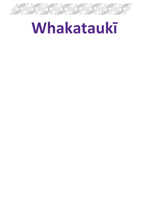

# **Whakataukī**

- 
- 
- -
	-
	-
- 
- 
-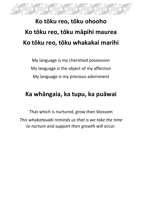

# **Ko tōku reo, tōku ohooho Ko tōku reo, tōku māpihi maurea Ko tōku reo, tōku whakakai marihi**

My language is my cherished possession My language is the object of my affection My language is my precious adornment

#### **Ka whāngaia, ka tupu, ka puāwai**

That which is nurtured, grow then blossom *This whakatauakī reminds us that is we take the time to nurture and support then growth will occur.*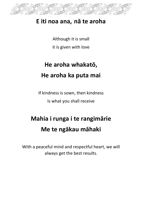

#### **E iti noa ana, nā te aroha**

Although it is small it is given with love

### **He aroha whakatō, He aroha ka puta mai**

If kindness is sown, then kindness Is what you shall receive

# **Mahia i runga i te rangimārie Me te ngākau māhaki**

With a peaceful mind and respectful heart, we will always get the best results.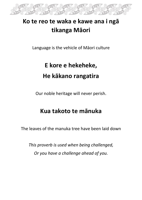

### **Ko te reo te waka e kawe ana i ngā tikanga Māori**

Language is the vehicle of Māori culture

# **E kore e hekeheke, He kākano rangatira**

Our noble heritage will never perish.

### **Kua takoto te mānuka**

The leaves of the manuka tree have been laid down

*This proverb is used when being challenged, Or you have a challenge ahead of you.*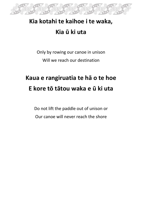

### **Kia kotahi te kaihoe i te waka, Kia ū ki uta**

Only by rowing our canoe in unison Will we reach our destination

# **Kaua e rangiruatia te hā o te hoe E kore tō tātou waka e ū ki uta**

Do not lift the paddle out of unison or Our canoe will never reach the shore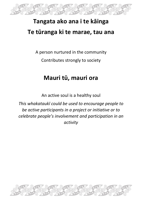

### **Tangata ako ana i te kāinga Te tūranga ki te marae, tau ana**

A person nurtured in the community Contributes strongly to society

### **Mauri tū, mauri ora**

An active soul is a healthy soul

*This whakataukī could be used to encourage people to be active participants in a project or initiative or to celebrate people's involvement and participation in an activity*

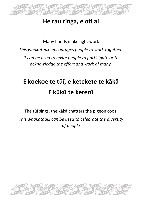

#### **He rau ringa, e oti ai**

Many hands make light work *This whakataukī encourages people to work together. It can be used to invite people to participate or to acknowledge the effort and work of many.*

# **E koekoe te tūī, e ketekete te kākā E kūkū te kererū**

The tūī sings, the kākā chatters the pigeon coos. *This whakataukī can be used to celebrate the diversity of people*

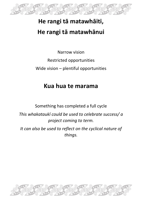

### **He rangi tā matawhāiti, He rangi tā matawhānui**

Narrow vision Restricted opportunities Wide vision – plentiful opportunities

### **Kua hua te marama**

Something has completed a full cycle

*This whakataukī could be used to celebrate success/ a project coming to term.*

*It can also be used to reflect on the cyclical nature of things.*

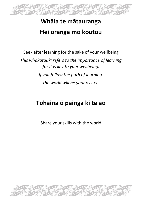

### **Whāia te mātauranga Hei oranga mō koutou**

Seek after learning for the sake of your wellbeing

*This whakataukī refers to the importance of learning for it is key to your wellbeing. If you follow the path of learning, the world will be your oyster.* 

### **Tohaina ō painga ki te ao**

Share your skills with the world

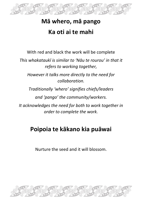

### **Mā whero, mā pango Ka oti ai te mahi**

With red and black the work will be complete

*This whakataukī is similar to 'Nāu te rourou' in that it refers to working together,*

*However it talks more directly to the need for collaboration.*

*Traditionally 'whero' signifies chiefs/leaders* 

*and 'pango' the community/workers.*

*It acknowledges the need for both to work together in order to complete the work.*

### **Poipoia te kākano kia puāwai**

Nurture the seed and it will blossom.

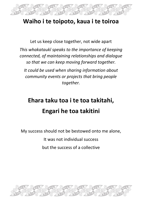

#### **Waiho i te toipoto, kaua i te toiroa**

Let us keep close together, not wide apart *This whakataukī speaks to the importance of keeping connected, of maintaining relationships and dialogue so that we can keep moving forward together. It could be used when sharing information about community events or projects that bring people together.*

# **Ehara taku toa i te toa takitahi, Engari he toa takitini**

My success should not be bestowed onto me alone,

It was not individual success

but the success of a collective

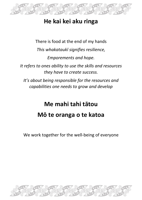

### **He kai kei aku ringa**

There is food at the end of my hands *This whakataukī signifies resilience, Emporements and hope. It refers to ones ability to use the skills and resources they have to create success.*

*It's about being responsible for the resources and capabilities one needs to grow and develop*

# **Me mahi tahi tātou Mō te oranga o te katoa**

We work together for the well-being of everyone

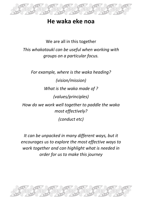

#### **He waka eke noa**

We are all in this together *This whakataukī can be useful when working with groups on a particular focus.*

*For example, where is the waka heading? (vision/mission) What is the waka made of ? (values/principles) How do we work well together to paddle the waka most effectively? (conduct etc)*

*It can be unpacked in many different ways, but it encourages us to explore the most effective ways to work together and can highlight what is needed in order for us to make this journey*

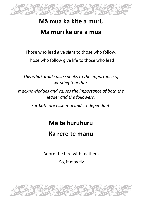

### **Mā mua ka kite a muri, Mā muri ka ora a mua**

Those who lead give sight to those who follow,

Those who follow give life to those who lead

*This whakataukī also speaks to the importance of working together.*

*It acknowledges and values the importance of both the leader and the followers,*

*For both are essential and co-dependant.*

### **Mā te huruhuru**

### **Ka rere te manu**

Adorn the bird with feathers So, it may fly

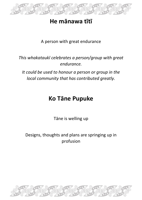

#### **He mānawa tītī**

A person with great endurance

#### *This whakataukī celebrates a person/group with great endurance.*

*It could be used to honour a person or group in the local community that has contributed greatly.*

### **Ko Tāne Pupuke**

Tāne is welling up

Designs, thoughts and plans are springing up in profusion

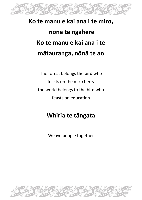

# **Ko te manu e kai ana i te miro, nōnā te ngahere Ko te manu e kai ana i te mātauranga, nōnā te ao**

The forest belongs the bird who feasts on the miro berry the world belongs to the bird who feasts on education

### **Whiria te tāngata**

Weave people together

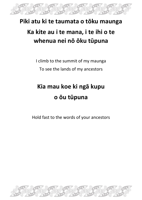

### **Piki atu ki te taumata o tōku maunga**

### **Ka kite au i te mana, i te ihi o te whenua nei nō ōku tūpuna**

I climb to the summit of my maunga To see the lands of my ancestors

# **Kia mau koe ki ngā kupu o ōu tūpuna**

Hold fast to the words of your ancestors

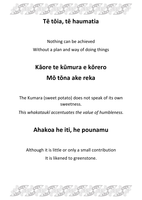

### **Tē tōia, tē haumatia**

Nothing can be achieved Without a plan and way of doing things

# **Kāore te kūmura e kōrero Mō tōna ake reka**

The Kumara (sweet potato) does not speak of its own sweetness.

*This whakataukī accentuates the value of humbleness.*

### **Ahakoa he iti, he pounamu**

Although it is little or only a small contribution It is likened to greenstone.

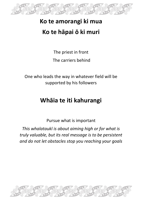

### **Ko te amorangi ki mua Ko te hāpai ō ki muri**

The priest in front

The carriers behind

One who leads the way in whatever field will be supported by his followers

### **Whāia te iti kahurangi**

Pursue what is important

*This whalataukī is about aiming high or for what is truly valuable, but its real message is to be persistent and do not let obstacles stop you reaching your goals*

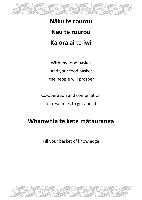

# **Nāku te rourou Nāu te rourou Ka ora ai te iwi**

With my food basket and your food basket the people will prosper

Co-operation and combination of resources to get ahead

### **Whaowhia te kete mātauranga**

Fill your basket of knowledge

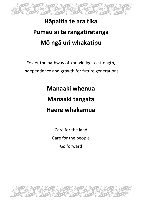

# **Hāpaitia te ara tika Pūmau ai te rangatiratanga Mō ngā uri whakatipu**

Foster the pathway of knowledge to strength, Independence and growth for future generations

> **Manaaki whenua Manaaki tangata Haere whakamua**

> > Care for the land Care for the people Go forward

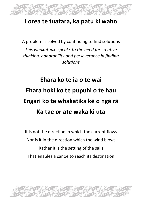

#### **I orea te tuatara, ka patu ki waho**

A problem is solved by continuing to find solutions *This whakataukī speaks to the need for creative thinking, adaptability and perseverance in finding solutions*

# **Ehara ko te ia o te wai Ehara hoki ko te pupuhi o te hau Engari ko te whakatika kē o ngā rā Ka tae or ate waka ki uta**

It is not the direction in which the current flows Nor is it in the direction which the wind blows Rather it is the setting of the sails That enables a canoe to reach its destination

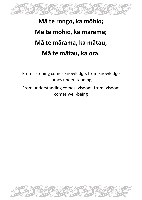

# **Mā te rongo, ka mōhio; Mā te mōhio, ka mārama; Mā te mārama, ka mātau; Mā te mātau, ka ora.**

From listening comes knowledge, from knowledge comes understanding,

From understanding comes wisdom, from wisdom comes well-being